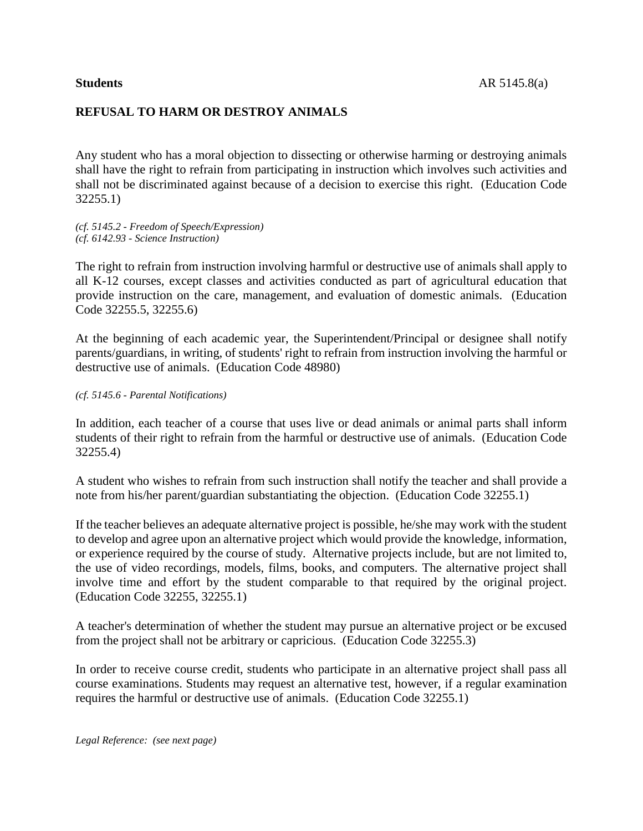## **REFUSAL TO HARM OR DESTROY ANIMALS**

Any student who has a moral objection to dissecting or otherwise harming or destroying animals shall have the right to refrain from participating in instruction which involves such activities and shall not be discriminated against because of a decision to exercise this right. (Education Code 32255.1)

*(cf. 5145.2 - Freedom of Speech/Expression) (cf. 6142.93 - Science Instruction)*

The right to refrain from instruction involving harmful or destructive use of animals shall apply to all K-12 courses, except classes and activities conducted as part of agricultural education that provide instruction on the care, management, and evaluation of domestic animals. (Education Code 32255.5, 32255.6)

At the beginning of each academic year, the Superintendent/Principal or designee shall notify parents/guardians, in writing, of students' right to refrain from instruction involving the harmful or destructive use of animals. (Education Code 48980)

*(cf. 5145.6 - Parental Notifications)*

In addition, each teacher of a course that uses live or dead animals or animal parts shall inform students of their right to refrain from the harmful or destructive use of animals. (Education Code 32255.4)

A student who wishes to refrain from such instruction shall notify the teacher and shall provide a note from his/her parent/guardian substantiating the objection. (Education Code 32255.1)

If the teacher believes an adequate alternative project is possible, he/she may work with the student to develop and agree upon an alternative project which would provide the knowledge, information, or experience required by the course of study. Alternative projects include, but are not limited to, the use of video recordings, models, films, books, and computers. The alternative project shall involve time and effort by the student comparable to that required by the original project. (Education Code 32255, 32255.1)

A teacher's determination of whether the student may pursue an alternative project or be excused from the project shall not be arbitrary or capricious. (Education Code 32255.3)

In order to receive course credit, students who participate in an alternative project shall pass all course examinations. Students may request an alternative test, however, if a regular examination requires the harmful or destructive use of animals. (Education Code 32255.1)